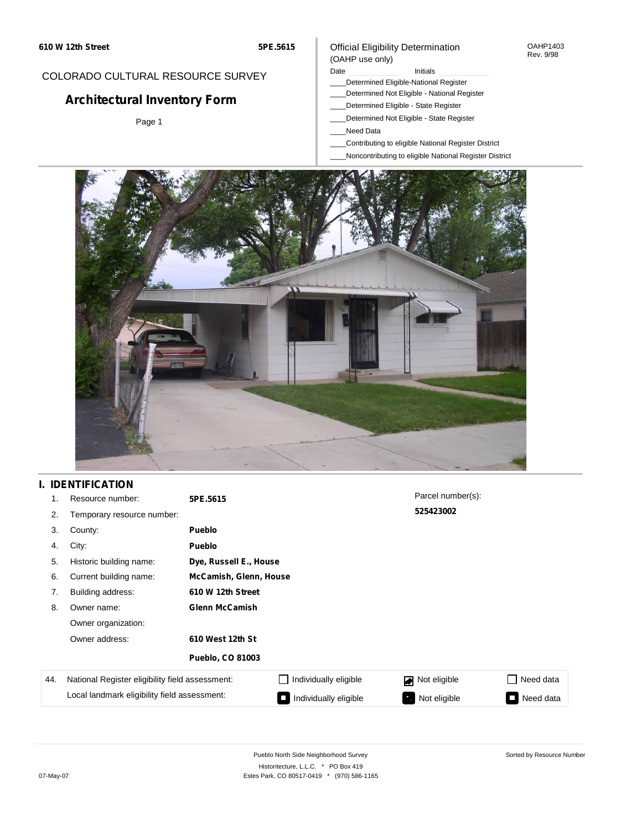#### OAHP1403 Rev. 9/98

## COLORADO CULTURAL RESOURCE SURVEY

# **Architectural Inventory Form**

Page 1

## Official Eligibility Determination (OAHP use only)

Date **Initials** Initials

- \_\_\_\_Determined Eligible-National Register
- \_\_\_\_Determined Not Eligible National Register
- \_\_\_\_Determined Eligible State Register
- \_\_\_\_Determined Not Eligible State Register
- \_\_\_\_Need Data
- \_\_\_\_Contributing to eligible National Register District
- \_\_\_\_Noncontributing to eligible National Register District



# **I. IDENTIFICATION**

| 1.  | Resource number:                                | 5PE.5615                      |                        | Parcel number(s): |           |  |  |  |  |
|-----|-------------------------------------------------|-------------------------------|------------------------|-------------------|-----------|--|--|--|--|
| 2.  | Temporary resource number:                      |                               |                        | 525423002         |           |  |  |  |  |
| 3.  | County:                                         | Pueblo                        |                        |                   |           |  |  |  |  |
| 4.  | City:                                           | <b>Pueblo</b>                 |                        |                   |           |  |  |  |  |
| 5.  | Historic building name:                         |                               | Dye, Russell E., House |                   |           |  |  |  |  |
| 6.  | Current building name:                          | <b>McCamish, Glenn, House</b> |                        |                   |           |  |  |  |  |
| 7.  | Building address:                               | 610 W 12th Street             |                        |                   |           |  |  |  |  |
| 8.  | Owner name:                                     | <b>Glenn McCamish</b>         |                        |                   |           |  |  |  |  |
|     | Owner organization:                             |                               |                        |                   |           |  |  |  |  |
|     | Owner address:                                  | 610 West 12th St              |                        |                   |           |  |  |  |  |
|     |                                                 | <b>Pueblo, CO 81003</b>       |                        |                   |           |  |  |  |  |
| 44. | National Register eligibility field assessment: |                               | Individually eligible  | Not eligible      | Need data |  |  |  |  |
|     | Local landmark eligibility field assessment:    |                               | Individually eligible  | Not eligible      | Need data |  |  |  |  |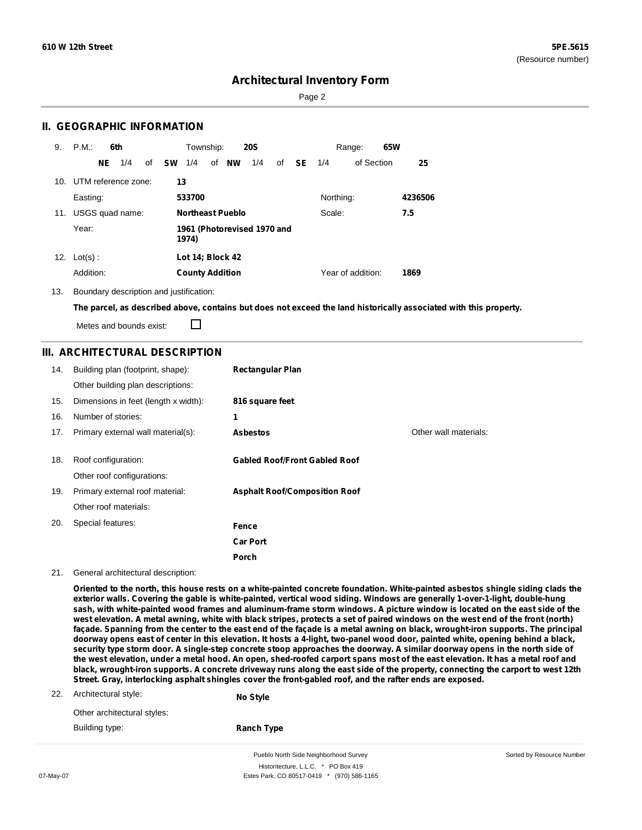Sorted by Resource Number

## **Architectural Inventory Form**

Page 2

## **II. GEOGRAPHIC INFORMATION**

| 9.  | P.M.                | 6th |     |    |           | Township:               |       | <b>20S</b>                  |    |     |           | Range:            | 65W |         |
|-----|---------------------|-----|-----|----|-----------|-------------------------|-------|-----------------------------|----|-----|-----------|-------------------|-----|---------|
|     |                     | NE. | 1/4 | of | <b>SW</b> | 1/4                     | of NW | 1/4                         | of | SE. | 1/4       | of Section        |     | 25      |
| 10. | UTM reference zone: |     |     |    | 13        |                         |       |                             |    |     |           |                   |     |         |
|     | Easting:            |     |     |    |           | 533700                  |       |                             |    |     | Northing: |                   |     | 4236506 |
| 11. | USGS quad name:     |     |     |    |           | <b>Northeast Pueblo</b> |       |                             |    |     | Scale:    |                   |     | 7.5     |
|     | Year:               |     |     |    |           | 1974)                   |       | 1961 (Photorevised 1970 and |    |     |           |                   |     |         |
| 12. | $Lot(s)$ :          |     |     |    |           | Lot 14; Block 42        |       |                             |    |     |           |                   |     |         |
|     | Addition:           |     |     |    |           | <b>County Addition</b>  |       |                             |    |     |           | Year of addition: |     | 1869    |

13. Boundary description and justification:

The parcel, as described above, contains but does not exceed the land historically associated with this property.

Metes and bounds exist:

П

## **III. ARCHITECTURAL DESCRIPTION**

| 14. | Building plan (footprint, shape):    | <b>Rectangular Plan</b>              |                       |
|-----|--------------------------------------|--------------------------------------|-----------------------|
|     | Other building plan descriptions:    |                                      |                       |
| 15. | Dimensions in feet (length x width): | 816 square feet                      |                       |
| 16. | Number of stories:                   | 1                                    |                       |
| 17. | Primary external wall material(s):   | <b>Asbestos</b>                      | Other wall materials: |
|     |                                      |                                      |                       |
| 18. | Roof configuration:                  | <b>Gabled Roof/Front Gabled Roof</b> |                       |
|     | Other roof configurations:           |                                      |                       |
| 19. | Primary external roof material:      | <b>Asphalt Roof/Composition Roof</b> |                       |
|     | Other roof materials:                |                                      |                       |
| 20. | Special features:                    | Fence                                |                       |
|     |                                      | <b>Car Port</b>                      |                       |
|     |                                      | Porch                                |                       |

21. General architectural description:

Oriented to the north, this house rests on a white-painted concrete foundation. White-painted asbestos shingle siding clads the exterior walls. Covering the gable is white-painted, vertical wood siding. Windows are generally 1-over-1-light, double-hung sash, with white-painted wood frames and aluminum-frame storm windows. A picture window is located on the east side of the west elevation. A metal awning, white with black stripes, protects a set of paired windows on the west end of the front (north) façade. Spanning from the center to the east end of the façade is a metal awning on black, wrought-iron supports. The principal doorway opens east of center in this elevation. It hosts a 4-light, two-panel wood door, painted white, opening behind a black, security type storm door. A single-step concrete stoop approaches the doorway. A similar doorway opens in the north side of the west elevation, under a metal hood. An open, shed-roofed carport spans most of the east elevation. It has a metal roof and black, wrought-iron supports. A concrete driveway runs along the east side of the property, connecting the carport to west 12th **Street. Gray, interlocking asphalt shingles cover the front-gabled roof, and the rafter ends are exposed.**

#### 22. Architectural style: Other architectural styles: Building type: **Ranch Type No Style**

Pueblo North Side Neighborhood Survey Historitecture, L.L.C. \* PO Box 419 07-May-07 **Estes Park, CO 80517-0419** \* (970) 586-1165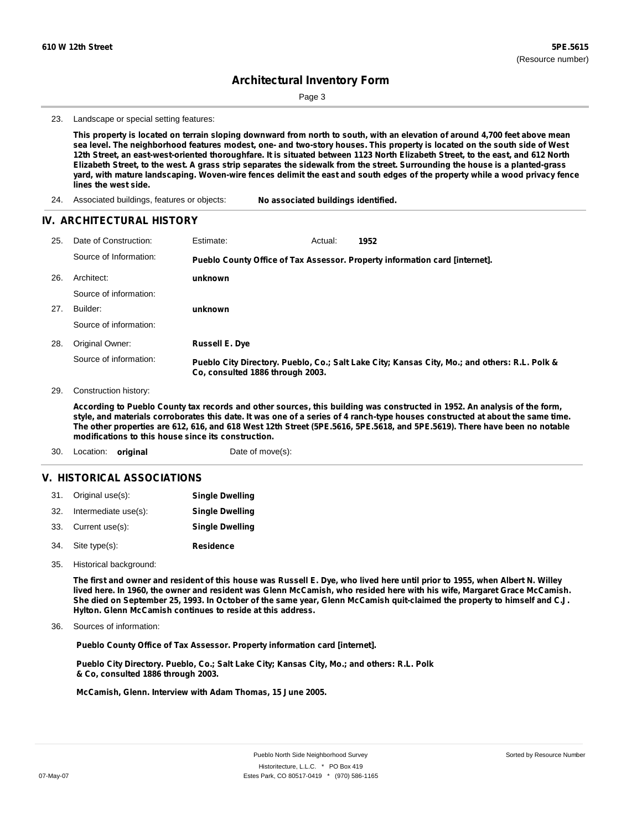Page 3

23. Landscape or special setting features:

This property is located on terrain sloping downward from north to south, with an elevation of around 4,700 feet above mean sea level. The neighborhood features modest, one- and two-story houses. This property is located on the south side of West 12th Street, an east-west-oriented thoroughfare. It is situated between 1123 North Elizabeth Street, to the east, and 612 North Elizabeth Street, to the west. A grass strip separates the sidewalk from the street. Surrounding the house is a planted-grass yard, with mature landscaping. Woven-wire fences delimit the east and south edges of the property while a wood privacy fence **lines the west side.**

24. Associated buildings, features or objects: **No associated buildings identified.**

#### **IV. ARCHITECTURAL HISTORY**

| 25. | Date of Construction:  | Estimate:                        | Actual: | 1952                                                                                          |
|-----|------------------------|----------------------------------|---------|-----------------------------------------------------------------------------------------------|
|     | Source of Information: |                                  |         | Pueblo County Office of Tax Assessor. Property information card [internet].                   |
| 26. | Architect:             | unknown                          |         |                                                                                               |
|     | Source of information: |                                  |         |                                                                                               |
| 27. | Builder:               | unknown                          |         |                                                                                               |
|     | Source of information: |                                  |         |                                                                                               |
| 28. | Original Owner:        | <b>Russell E. Dye</b>            |         |                                                                                               |
|     | Source of information: | Co. consulted 1886 through 2003. |         | Pueblo City Directory. Pueblo, Co.; Salt Lake City; Kansas City, Mo.; and others: R.L. Polk & |

29. Construction history:

According to Pueblo County tax records and other sources, this building was constructed in 1952. An analysis of the form, style, and materials corroborates this date. It was one of a series of 4 ranch-type houses constructed at about the same time. The other properties are 612, 616, and 618 West 12th Street (5PE.5616, 5PE.5618, and 5PE.5619). There have been no notable **modifications to this house since its construction.**

30. Location: **original** Date of move(s):

### **V. HISTORICAL ASSOCIATIONS**

|     | 31. Original use(s): | <b>Single Dwelling</b> |
|-----|----------------------|------------------------|
| 32. | Intermediate use(s): | <b>Single Dwelling</b> |
|     | 33. Current use(s):  | <b>Single Dwelling</b> |
|     | 34. Site type(s):    | <b>Residence</b>       |

35. Historical background:

The first and owner and resident of this house was Russell E. Dye, who lived here until prior to 1955, when Albert N. Willey lived here. In 1960, the owner and resident was Glenn McCamish, who resided here with his wife, Margaret Grace McCamish. She died on September 25, 1993. In October of the same year, Glenn McCamish quit-claimed the property to himself and C.J. **Hylton. Glenn McCamish continues to reside at this address.**

Sources of information: 36.

**Pueblo County Office of Tax Assessor. Property information card [internet].**

**Pueblo City Directory. Pueblo, Co.; Salt Lake City; Kansas City, Mo.; and others: R.L. Polk & Co, consulted 1886 through 2003.**

**McCamish, Glenn. Interview with Adam Thomas, 15 June 2005.**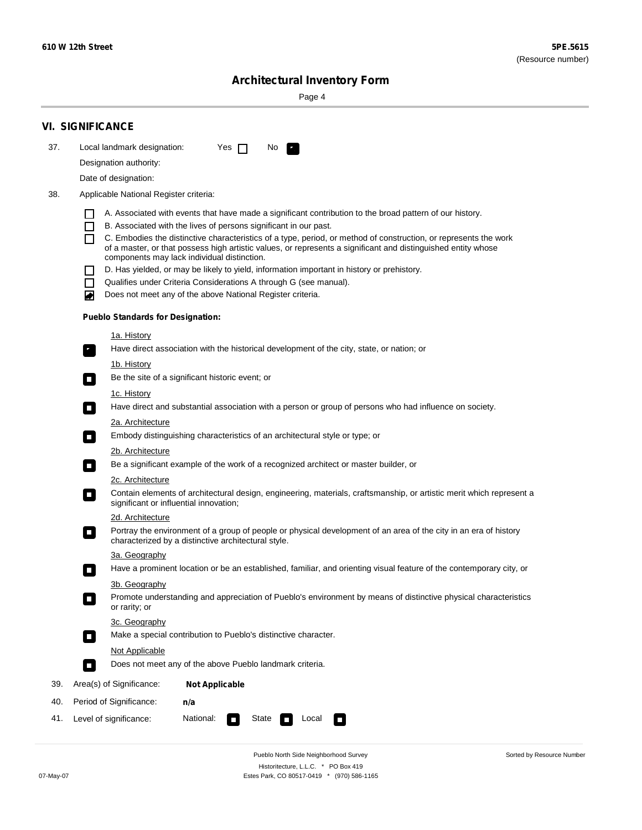۰

Sorted by Resource Number

# **Architectural Inventory Form**

Page 4

|     | <b>VI. SIGNIFICANCE</b>                                                                                                                                                                                                                                                                                                                                                                                                                                                                                                                                                                                                                                                                                                                                                                                                                                                                                                                                                                                                                                                                                                                                                                                                                                                                                                                                                                                                                                                                                                                                                                                                                                                                                                                                                                                                                                                                                                                                                                                                                                                                                                                                                                                                                                                               |
|-----|---------------------------------------------------------------------------------------------------------------------------------------------------------------------------------------------------------------------------------------------------------------------------------------------------------------------------------------------------------------------------------------------------------------------------------------------------------------------------------------------------------------------------------------------------------------------------------------------------------------------------------------------------------------------------------------------------------------------------------------------------------------------------------------------------------------------------------------------------------------------------------------------------------------------------------------------------------------------------------------------------------------------------------------------------------------------------------------------------------------------------------------------------------------------------------------------------------------------------------------------------------------------------------------------------------------------------------------------------------------------------------------------------------------------------------------------------------------------------------------------------------------------------------------------------------------------------------------------------------------------------------------------------------------------------------------------------------------------------------------------------------------------------------------------------------------------------------------------------------------------------------------------------------------------------------------------------------------------------------------------------------------------------------------------------------------------------------------------------------------------------------------------------------------------------------------------------------------------------------------------------------------------------------------|
| 37. | Local landmark designation:<br>Yes $\Box$<br>No.<br>$\mathcal{F}_\mathrm{c}$                                                                                                                                                                                                                                                                                                                                                                                                                                                                                                                                                                                                                                                                                                                                                                                                                                                                                                                                                                                                                                                                                                                                                                                                                                                                                                                                                                                                                                                                                                                                                                                                                                                                                                                                                                                                                                                                                                                                                                                                                                                                                                                                                                                                          |
|     | Designation authority:                                                                                                                                                                                                                                                                                                                                                                                                                                                                                                                                                                                                                                                                                                                                                                                                                                                                                                                                                                                                                                                                                                                                                                                                                                                                                                                                                                                                                                                                                                                                                                                                                                                                                                                                                                                                                                                                                                                                                                                                                                                                                                                                                                                                                                                                |
|     | Date of designation:                                                                                                                                                                                                                                                                                                                                                                                                                                                                                                                                                                                                                                                                                                                                                                                                                                                                                                                                                                                                                                                                                                                                                                                                                                                                                                                                                                                                                                                                                                                                                                                                                                                                                                                                                                                                                                                                                                                                                                                                                                                                                                                                                                                                                                                                  |
| 38. |                                                                                                                                                                                                                                                                                                                                                                                                                                                                                                                                                                                                                                                                                                                                                                                                                                                                                                                                                                                                                                                                                                                                                                                                                                                                                                                                                                                                                                                                                                                                                                                                                                                                                                                                                                                                                                                                                                                                                                                                                                                                                                                                                                                                                                                                                       |
|     | Applicable National Register criteria:<br>A. Associated with events that have made a significant contribution to the broad pattern of our history.<br>B. Associated with the lives of persons significant in our past.<br>$\mathsf{L}$<br>C. Embodies the distinctive characteristics of a type, period, or method of construction, or represents the work<br>П<br>of a master, or that possess high artistic values, or represents a significant and distinguished entity whose<br>components may lack individual distinction.<br>D. Has yielded, or may be likely to yield, information important in history or prehistory.<br>Qualifies under Criteria Considerations A through G (see manual).<br>$\mathbf{I}$<br>Does not meet any of the above National Register criteria.<br>♦<br><b>Pueblo Standards for Designation:</b><br><u>1a. History</u><br>Have direct association with the historical development of the city, state, or nation; or<br>$\mathbf{r}_1$<br><u>1b. History</u><br>Be the site of a significant historic event; or<br>$\blacksquare$<br>1c. History<br>Have direct and substantial association with a person or group of persons who had influence on society.<br>$\sim$<br>2a. Architecture<br>Embody distinguishing characteristics of an architectural style or type; or<br>О<br>2b. Architecture<br>Be a significant example of the work of a recognized architect or master builder, or<br>$\mathcal{L}_{\mathcal{A}}$<br>2c. Architecture<br>Contain elements of architectural design, engineering, materials, craftsmanship, or artistic merit which represent a<br>О<br>significant or influential innovation;<br>2d. Architecture<br>Portray the environment of a group of people or physical development of an area of the city in an era of history<br>о<br>characterized by a distinctive architectural style.<br>3a. Geography<br>Have a prominent location or be an established, familiar, and orienting visual feature of the contemporary city, or<br>3b. Geography<br>Promote understanding and appreciation of Pueblo's environment by means of distinctive physical characteristics<br>or rarity; or<br>3c. Geography<br>Make a special contribution to Pueblo's distinctive character.<br>$\overline{\phantom{a}}$<br>Not Applicable |
|     | Does not meet any of the above Pueblo landmark criteria.<br>n.                                                                                                                                                                                                                                                                                                                                                                                                                                                                                                                                                                                                                                                                                                                                                                                                                                                                                                                                                                                                                                                                                                                                                                                                                                                                                                                                                                                                                                                                                                                                                                                                                                                                                                                                                                                                                                                                                                                                                                                                                                                                                                                                                                                                                        |
| 39. | Area(s) of Significance:<br><b>Not Applicable</b>                                                                                                                                                                                                                                                                                                                                                                                                                                                                                                                                                                                                                                                                                                                                                                                                                                                                                                                                                                                                                                                                                                                                                                                                                                                                                                                                                                                                                                                                                                                                                                                                                                                                                                                                                                                                                                                                                                                                                                                                                                                                                                                                                                                                                                     |
| 40. | Period of Significance:<br>n/a                                                                                                                                                                                                                                                                                                                                                                                                                                                                                                                                                                                                                                                                                                                                                                                                                                                                                                                                                                                                                                                                                                                                                                                                                                                                                                                                                                                                                                                                                                                                                                                                                                                                                                                                                                                                                                                                                                                                                                                                                                                                                                                                                                                                                                                        |
| 41. | National:<br>Level of significance:<br>Local<br>State<br>$\Box$<br>П                                                                                                                                                                                                                                                                                                                                                                                                                                                                                                                                                                                                                                                                                                                                                                                                                                                                                                                                                                                                                                                                                                                                                                                                                                                                                                                                                                                                                                                                                                                                                                                                                                                                                                                                                                                                                                                                                                                                                                                                                                                                                                                                                                                                                  |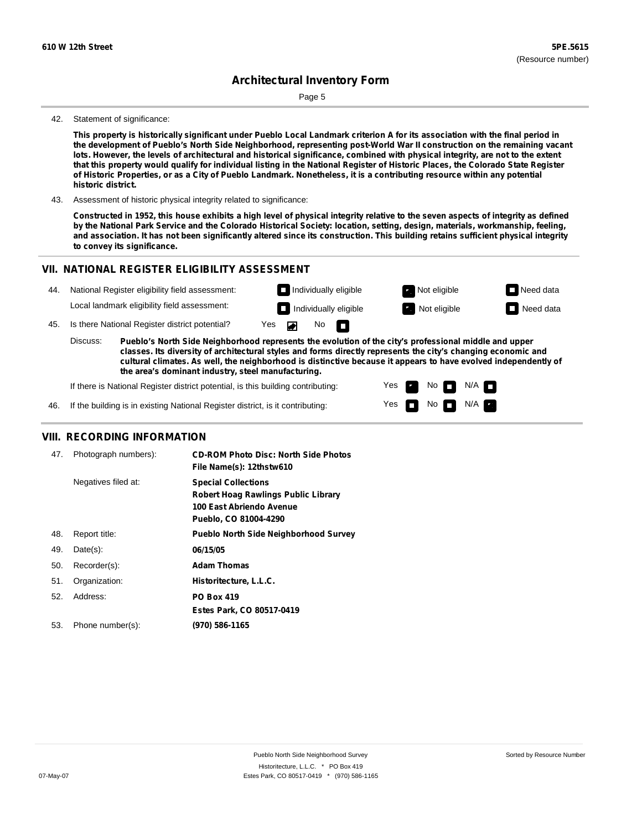Page 5

#### 42. Statement of significance:

This property is historically significant under Pueblo Local Landmark criterion A for its association with the final period in the development of Pueblo's North Side Neighborhood, representing post-World War II construction on the remaining vacant lots. However, the levels of architectural and historical significance, combined with physical integrity, are not to the extent that this property would qualify for individual listing in the National Register of Historic Places, the Colorado State Register of Historic Properties, or as a City of Pueblo Landmark. Nonetheless, it is a contributing resource within any potential **historic district.**

43. Assessment of historic physical integrity related to significance:

Constructed in 1952, this house exhibits a high level of physical integrity relative to the seven aspects of integrity as defined by the National Park Service and the Colorado Historical Society: location, setting, design, materials, workmanship, feeling, and association. It has not been significantly altered since its construction. This building retains sufficient physical integrity **to convey its significance.**

#### **VII. NATIONAL REGISTER ELIGIBILITY ASSESSMENT**

| 44.                                                                                                                                                                                                                                                                                                                                                   | National Register eligibility field assessment: |                                              |     | $\Box$ Individually eligible |  | Not eligible                 | Need data    |                  |
|-------------------------------------------------------------------------------------------------------------------------------------------------------------------------------------------------------------------------------------------------------------------------------------------------------------------------------------------------------|-------------------------------------------------|----------------------------------------------|-----|------------------------------|--|------------------------------|--------------|------------------|
|                                                                                                                                                                                                                                                                                                                                                       |                                                 | Local landmark eligibility field assessment: |     |                              |  | $\Box$ Individually eligible | Not eligible | $\Box$ Need data |
| 45.                                                                                                                                                                                                                                                                                                                                                   | Is there National Register district potential?  |                                              | Yes | No $\blacksquare$            |  |                              |              |                  |
| Discuss:<br>Pueblo's North Side Neighborhood represents the evolution of the city's professional middle and upper<br>classes. Its diversity of architectural styles and forms directly represents the city's changing economic and<br>cultural climates. As well, the neighborhood is distinctive because it appears to have evolved independently of |                                                 |                                              |     |                              |  |                              |              |                  |

**the area's dominant industry, steel manufacturing.**

If there is National Register district potential, is this building contributing:

46. If the building is in existing National Register district, is it contributing:

Yes Yes No No FFI N/A N/A

**VIII. RECORDING INFORMATION**

| 47. | Photograph numbers): | <b>CD-ROM Photo Disc: North Side Photos</b><br>File Name(s): 12thstw610                                                       |
|-----|----------------------|-------------------------------------------------------------------------------------------------------------------------------|
|     | Negatives filed at:  | <b>Special Collections</b><br><b>Robert Hoag Rawlings Public Library</b><br>100 East Abriendo Avenue<br>Pueblo, CO 81004-4290 |
| 48. | Report title:        | <b>Pueblo North Side Neighborhood Survey</b>                                                                                  |
| 49. | $Date(s)$ :          | 06/15/05                                                                                                                      |
| 50. | Recorder(s):         | <b>Adam Thomas</b>                                                                                                            |
| 51. | Organization:        | Historitecture, L.L.C.                                                                                                        |
| 52. | Address:             | <b>PO Box 419</b>                                                                                                             |
|     |                      | Estes Park, CO 80517-0419                                                                                                     |
| 53. | Phone number(s):     | (970) 586-1165                                                                                                                |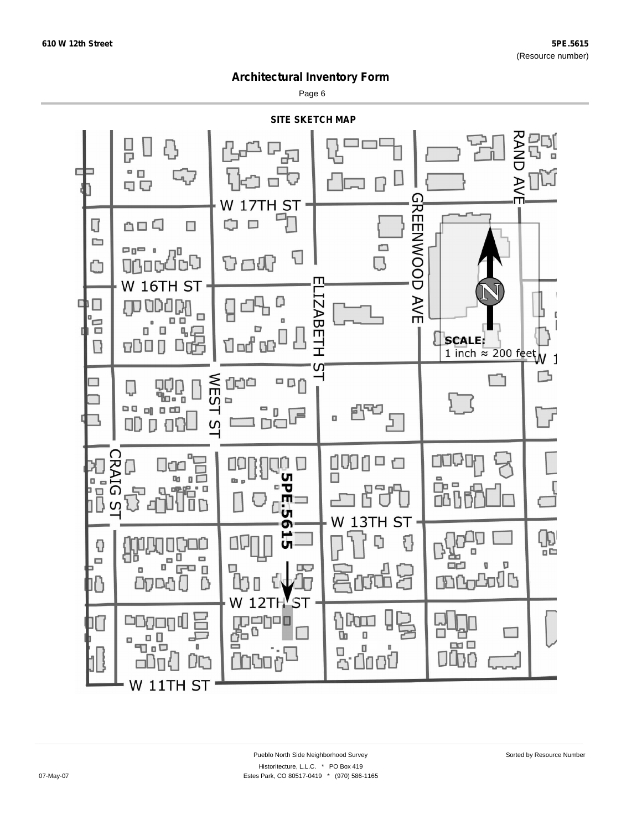Page 6